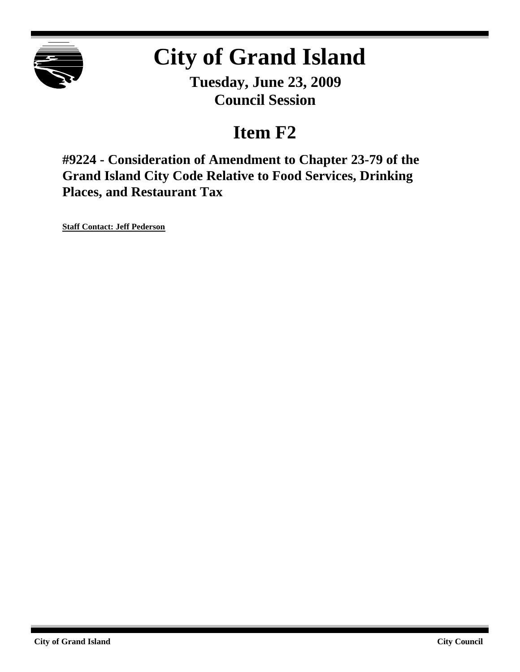

# **City of Grand Island**

**Tuesday, June 23, 2009 Council Session**

## **Item F2**

**#9224 - Consideration of Amendment to Chapter 23-79 of the Grand Island City Code Relative to Food Services, Drinking Places, and Restaurant Tax**

**Staff Contact: Jeff Pederson**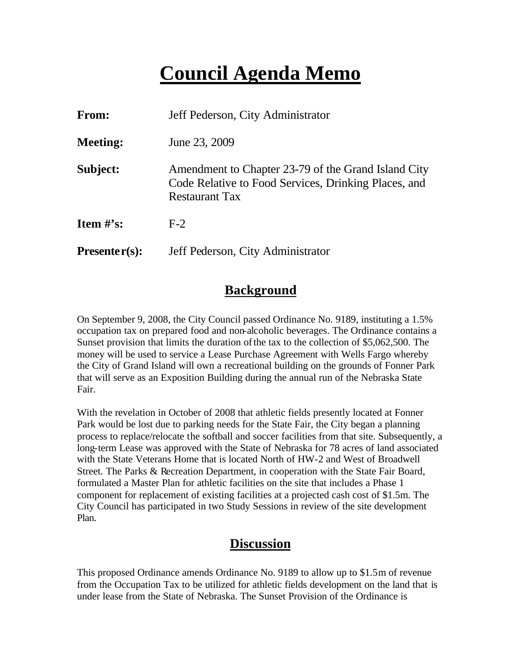## **Council Agenda Memo**

| From:           | Jeff Pederson, City Administrator                                                                                                    |
|-----------------|--------------------------------------------------------------------------------------------------------------------------------------|
| <b>Meeting:</b> | June 23, 2009                                                                                                                        |
| Subject:        | Amendment to Chapter 23-79 of the Grand Island City<br>Code Relative to Food Services, Drinking Places, and<br><b>Restaurant Tax</b> |
| Item $\#$ 's:   | $F-2$                                                                                                                                |
| $Presenter(s):$ | Jeff Pederson, City Administrator                                                                                                    |

### **Background**

On September 9, 2008, the City Council passed Ordinance No. 9189, instituting a 1.5% occupation tax on prepared food and non-alcoholic beverages. The Ordinance contains a Sunset provision that limits the duration of the tax to the collection of \$5,062,500. The money will be used to service a Lease Purchase Agreement with Wells Fargo whereby the City of Grand Island will own a recreational building on the grounds of Fonner Park that will serve as an Exposition Building during the annual run of the Nebraska State Fair.

With the revelation in October of 2008 that athletic fields presently located at Fonner Park would be lost due to parking needs for the State Fair, the City began a planning process to replace/relocate the softball and soccer facilities from that site. Subsequently, a long-term Lease was approved with the State of Nebraska for 78 acres of land associated with the State Veterans Home that is located North of HW-2 and West of Broadwell Street. The Parks & Recreation Department, in cooperation with the State Fair Board, formulated a Master Plan for athletic facilities on the site that includes a Phase 1 component for replacement of existing facilities at a projected cash cost of \$1.5m. The City Council has participated in two Study Sessions in review of the site development Plan.

## **Discussion**

This proposed Ordinance amends Ordinance No. 9189 to allow up to \$1.5m of revenue from the Occupation Tax to be utilized for athletic fields development on the land that is under lease from the State of Nebraska. The Sunset Provision of the Ordinance is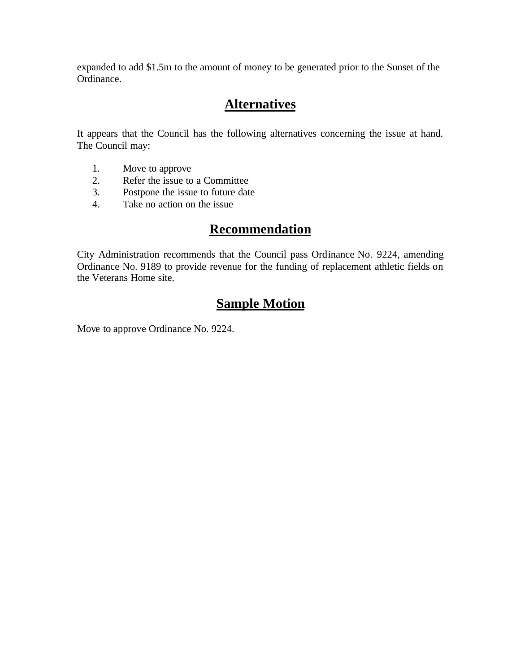expanded to add \$1.5m to the amount of money to be generated prior to the Sunset of the Ordinance.

## **Alternatives**

It appears that the Council has the following alternatives concerning the issue at hand. The Council may:

- 1. Move to approve
- 2. Refer the issue to a Committee<br>3. Postpone the issue to future date
- Postpone the issue to future date
- 4. Take no action on the issue

#### **Recommendation**

City Administration recommends that the Council pass Ordinance No. 9224, amending Ordinance No. 9189 to provide revenue for the funding of replacement athletic fields on the Veterans Home site.

### **Sample Motion**

Move to approve Ordinance No. 9224.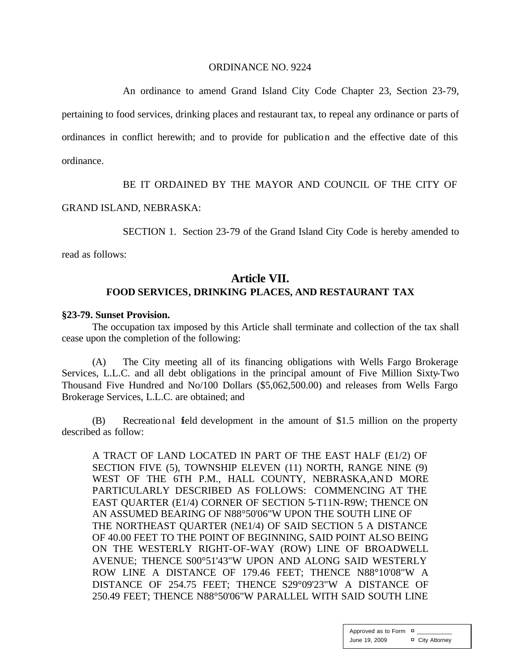#### ORDINANCE NO. 9224

An ordinance to amend Grand Island City Code Chapter 23, Section 23-79, pertaining to food services, drinking places and restaurant tax, to repeal any ordinance or parts of ordinances in conflict herewith; and to provide for publication and the effective date of this ordinance.

BE IT ORDAINED BY THE MAYOR AND COUNCIL OF THE CITY OF

#### GRAND ISLAND, NEBRASKA:

SECTION 1. Section 23-79 of the Grand Island City Code is hereby amended to

read as follows:

#### **Article VII. FOOD SERVICES, DRINKING PLACES, AND RESTAURANT TAX**

#### **§23-79. Sunset Provision.**

The occupation tax imposed by this Article shall terminate and collection of the tax shall cease upon the completion of the following:

(A) The City meeting all of its financing obligations with Wells Fargo Brokerage Services, L.L.C. and all debt obligations in the principal amount of Five Million Sixty-Two Thousand Five Hundred and No/100 Dollars (\$5,062,500.00) and releases from Wells Fargo Brokerage Services, L.L.C. are obtained; and

(B) Recreational field development in the amount of \$1.5 million on the property described as follow:

A TRACT OF LAND LOCATED IN PART OF THE EAST HALF (E1/2) OF SECTION FIVE (5), TOWNSHIP ELEVEN (11) NORTH, RANGE NINE (9) WEST OF THE 6TH P.M., HALL COUNTY, NEBRASKA,AND MORE PARTICULARLY DESCRIBED AS FOLLOWS: COMMENCING AT THE EAST QUARTER (E1/4) CORNER OF SECTION 5-T11N-R9W; THENCE ON AN ASSUMED BEARING OF N88°50'06"W UPON THE SOUTH LINE OF THE NORTHEAST QUARTER (NE1/4) OF SAID SECTION 5 A DISTANCE OF 40.00 FEET TO THE POINT OF BEGINNING, SAID POINT ALSO BEING ON THE WESTERLY RIGHT-OF-WAY (ROW) LINE OF BROADWELL AVENUE; THENCE S00°51'43"W UPON AND ALONG SAID WESTERLY ROW LINE A DISTANCE OF 179.46 FEET; THENCE N88°10'08"W A DISTANCE OF 254.75 FEET; THENCE S29°09'23"W A DISTANCE OF 250.49 FEET; THENCE N88°50'06"W PARALLEL WITH SAID SOUTH LINE

> Approved as to Form  $\overline{a}$ June 19, 2009 ¤ City Attorney